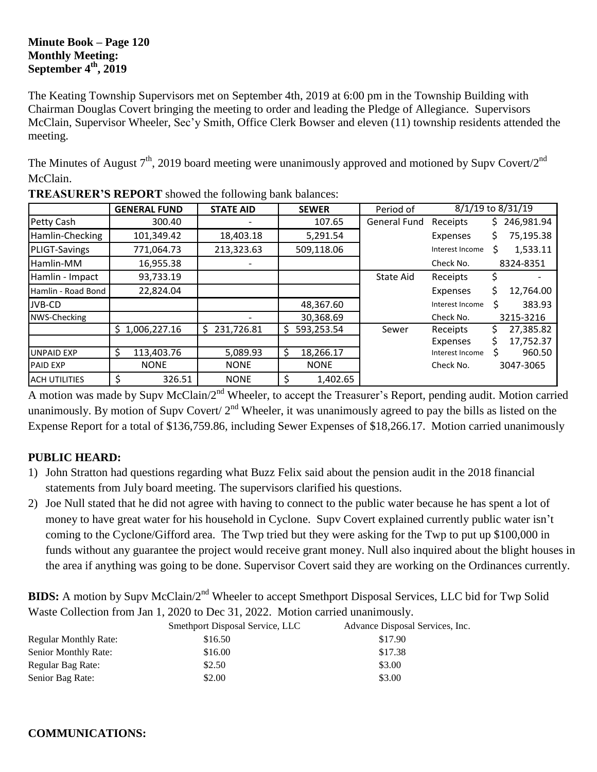#### **Minute Book – Page 120 Monthly Meeting: September 4th, 2019**

The Keating Township Supervisors met on September 4th, 2019 at 6:00 pm in the Township Building with Chairman Douglas Covert bringing the meeting to order and leading the Pledge of Allegiance. Supervisors McClain, Supervisor Wheeler, Sec'y Smith, Office Clerk Bowser and eleven (11) township residents attended the meeting.

The Minutes of August  $7<sup>th</sup>$ , 2019 board meeting were unanimously approved and motioned by Supv Covert/2<sup>nd</sup> McClain.

|                      | <b>GENERAL FUND</b> | <b>STATE AID</b> | <b>SEWER</b>    | Period of        |                 | 8/1/19 to 8/31/19 |
|----------------------|---------------------|------------------|-----------------|------------------|-----------------|-------------------|
| Petty Cash           | 300.40              |                  | 107.65          | General Fund     | Receipts        | 246,981.94<br>Ş.  |
| Hamlin-Checking      | 101,349.42          | 18,403.18        | 5,291.54        |                  | Expenses        | 75,195.38<br>\$.  |
| <b>PLIGT-Savings</b> | 771,064.73          | 213,323.63       | 509,118.06      |                  | Interest Income | 1,533.11          |
| Hamlin-MM            | 16,955.38           |                  |                 |                  | Check No.       | 8324-8351         |
| Hamlin - Impact      | 93,733.19           |                  |                 | <b>State Aid</b> | Receipts        | Ş                 |
| Hamlin - Road Bond   | 22,824.04           |                  |                 |                  | Expenses        | \$.<br>12,764.00  |
| JVB-CD               |                     |                  | 48,367.60       |                  | Interest Income | Ś<br>383.93       |
| NWS-Checking         |                     |                  | 30,368.69       |                  | Check No.       | 3215-3216         |
|                      | \$1,006,227.16      | 231,726.81<br>Ś. | 593,253.54<br>S | Sewer            | Receipts        | 27,385.82         |
|                      |                     |                  |                 |                  | Expenses        | 17,752.37         |
| <b>UNPAID EXP</b>    | Ś<br>113,403.76     | 5,089.93         | 18,266.17<br>S  |                  | Interest Income | 960.50            |
| <b>PAID EXP</b>      | <b>NONE</b>         | <b>NONE</b>      | <b>NONE</b>     |                  | Check No.       | 3047-3065         |
| <b>ACH UTILITIES</b> | \$<br>326.51        | <b>NONE</b>      | \$<br>1,402.65  |                  |                 |                   |

**TREASURER'S REPORT** showed the following bank balances:

A motion was made by Supv McClain/2<sup>nd</sup> Wheeler, to accept the Treasurer's Report, pending audit. Motion carried unanimously. By motion of Supv Covert/  $2<sup>nd</sup>$  Wheeler, it was unanimously agreed to pay the bills as listed on the Expense Report for a total of \$136,759.86, including Sewer Expenses of \$18,266.17. Motion carried unanimously

### **PUBLIC HEARD:**

- 1) John Stratton had questions regarding what Buzz Felix said about the pension audit in the 2018 financial statements from July board meeting. The supervisors clarified his questions.
- 2) Joe Null stated that he did not agree with having to connect to the public water because he has spent a lot of money to have great water for his household in Cyclone. Supv Covert explained currently public water isn't coming to the Cyclone/Gifford area. The Twp tried but they were asking for the Twp to put up \$100,000 in funds without any guarantee the project would receive grant money. Null also inquired about the blight houses in the area if anything was going to be done. Supervisor Covert said they are working on the Ordinances currently.

**BIDS:** A motion by Supv McClain/2<sup>nd</sup> Wheeler to accept Smethport Disposal Services, LLC bid for Twp Solid Waste Collection from Jan 1, 2020 to Dec 31, 2022. Motion carried unanimously.

|                              | Smethport Disposal Service, LLC | Advance Disposal Services, Inc. |
|------------------------------|---------------------------------|---------------------------------|
| <b>Regular Monthly Rate:</b> | \$16.50                         | \$17.90                         |
| Senior Monthly Rate:         | \$16.00                         | \$17.38                         |
| Regular Bag Rate:            | \$2.50                          | \$3.00                          |
| Senior Bag Rate:             | \$2.00                          | \$3.00                          |

#### **COMMUNICATIONS:**